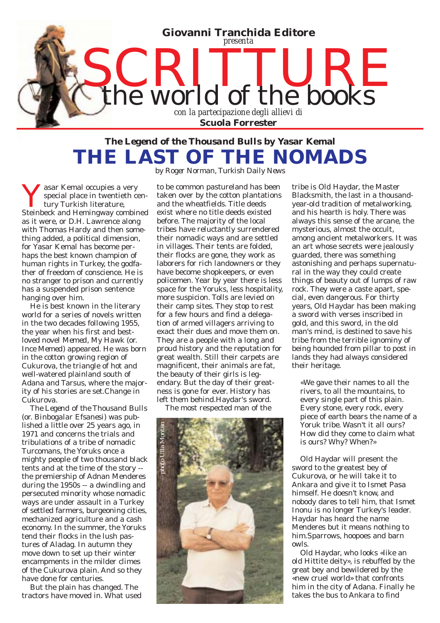

## *The Legend of the Thousand Bulls* **by Yasar Kemal THE LAST OF THE NOMADS**  *by Roger Norman, Turkish Daily News*

**V** asar Kemal occupies a very<br>special place in twentieth c<br>steinbeck and Hemingway combit special place in twentieth century Turkish literature, Steinbeck and Hemingway combined as it were, or D.H. Lawrence along with Thomas Hardy and then something added, a political dimension, for Yasar Kemal has become perhaps the best known champion of human rights in Turkey, the godfather of freedom of conscience. He is no stranger to prison and currently has a suspended prison sentence hanging over him.

He is best known in the literary world for a series of novels written in the two decades following 1955, the year when his first and bestloved novel *Memed, My Hawk* (or. *Ince Memed*) appeared. He was born in the cotton growing region of Cukurova, the triangle of hot and well-watered plainland south of Adana and Tarsus, where the majority of his stories are set.Change in Cukurova.

*The Legend of the Thousand Bulls* (or. *Binbogalar Efsanesi*) was published a little over 25 years ago, in 1971 and concerns the trials and tribulations of a tribe of nomadic Turcomans, the Yoruks once a mighty people of two thousand black tents and at the time of the story - the premiership of Adnan Menderes during the 1950s -- a dwindling and persecuted minority whose nomadic ways are under assault in a Turkey of settled farmers, burgeoning cities, mechanized agriculture and a cash economy. In the summer, the Yoruks tend their flocks in the lush pastures of Aladag. In autumn they move down to set up their winter encampments in the milder climes of the Cukurova plain. And so they have done for centuries.

But the plain has changed. The tractors have moved in. What used

to be common pastureland has been taken over by the cotton plantations and the wheatfields. Title deeds exist where no title deeds existed before. The majority of the local tribes have reluctantly surrendered their nomadic ways and are settled in villages. Their tents are folded, their flocks are gone, they work as laborers for rich landowners or they have become shopkeepers, or even policemen. Year by year there is less space for the Yoruks, less hospitality, more suspicion. Tolls are levied on their camp sites. They stop to rest for a few hours and find a delegation of armed villagers arriving to exact their dues and move them on. They are a people with a long and proud history and the reputation for great wealth. Still their carpets are magnificent, their animals are fat, the beauty of their girls is legendary. But the day of their greatness is gone for ever. History has left them behind.Haydar's sword.

The most respected man of the



tribe is Old Haydar, the Master Blacksmith, the last in a thousandyear-old tradition of metalworking, and his hearth is holy. There was always this sense of the arcane, the mysterious, almost the occult, among ancient metalworkers. It was an art whose secrets were jealously guarded, there was something astonishing and perhaps supernatural in the way they could create things of beauty out of lumps of raw rock. They were a caste apart, special, even dangerous. For thirty years, Old Haydar has been making a sword with verses inscribed in gold, and this sword, in the old man's mind, is destined to save his tribe from the terrible ignominy of being hounded from pillar to post in lands they had always considered their heritage.

«We gave their names to all the rivers, to all the mountains, to every single part of this plain. Every stone, every rock, every piece of earth bears the name of a Yoruk tribe. Wasn't it all ours? How did they come to claim what is ours? Why? When?»

Old Haydar will present the sword to the greatest bey of Cukurova, or he will take it to Ankara and give it to Ismet Pasa himself. He doesn't know, and nobody dares to tell him, that Ismet Inonu is no longer Turkey's leader. Haydar has heard the name Menderes but it means nothing to him.Sparrows, hoopoes and barn owls.

Old Haydar, who looks «like an old Hittite deity», is rebuffed by the great bey and bewildered by the «new cruel world» that confronts him in the city of Adana. Finally he takes the bus to Ankara to find